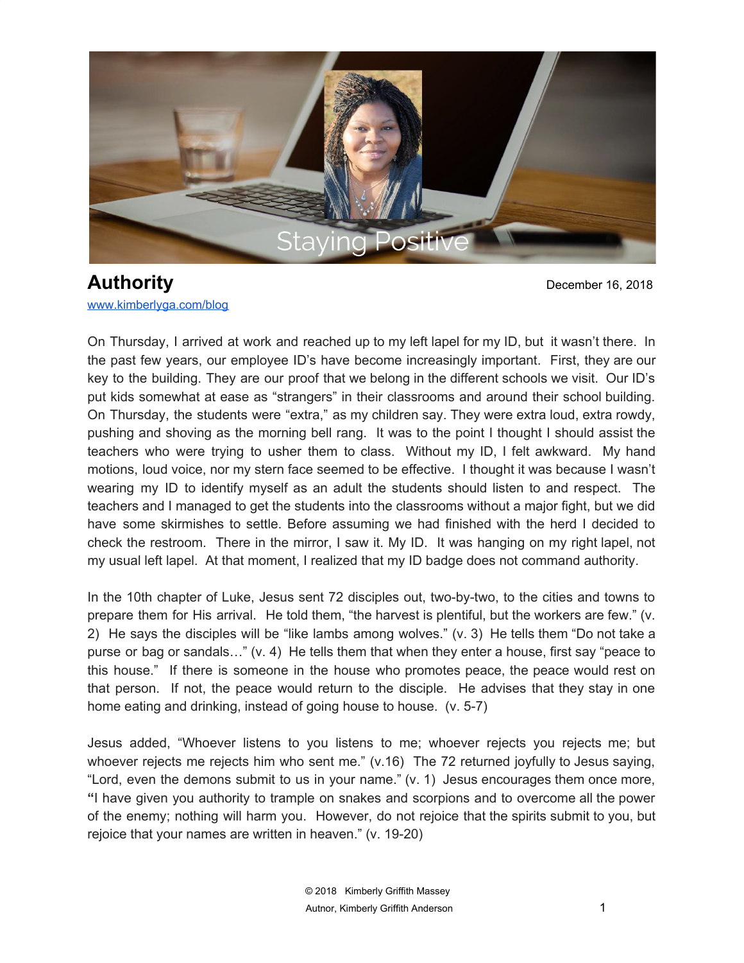

**Authority** December 16, 2018 [www.kimberlyga.com/blog](http://www.kimberlyga.com/blog)

On Thursday, I arrived at work and reached up to my left lapel for my ID, but it wasn't there. In the past few years, our employee ID's have become increasingly important. First, they are our key to the building. They are our proof that we belong in the different schools we visit. Our ID's put kids somewhat at ease as "strangers" in their classrooms and around their school building. On Thursday, the students were "extra," as my children say. They were extra loud, extra rowdy, pushing and shoving as the morning bell rang. It was to the point I thought I should assist the teachers who were trying to usher them to class. Without my ID, I felt awkward. My hand motions, loud voice, nor my stern face seemed to be effective. I thought it was because I wasn't wearing my ID to identify myself as an adult the students should listen to and respect. The teachers and I managed to get the students into the classrooms without a major fight, but we did have some skirmishes to settle. Before assuming we had finished with the herd I decided to check the restroom. There in the mirror, I saw it. My ID. It was hanging on my right lapel, not my usual left lapel. At that moment, I realized that my ID badge does not command authority.

In the 10th chapter of Luke, Jesus sent 72 disciples out, two-by-two, to the cities and towns to prepare them for His arrival. He told them, "the harvest is plentiful, but the workers are few." (v. 2) He says the disciples will be "like lambs among wolves." (v. 3) He tells them "Do not take a purse or bag or sandals…" (v. 4) He tells them that when they enter a house, first say "peace to this house." If there is someone in the house who promotes peace, the peace would rest on that person. If not, the peace would return to the disciple. He advises that they stay in one home eating and drinking, instead of going house to house. (v. 5-7)

Jesus added, "Whoever listens to you listens to me; whoever rejects you rejects me; but whoever rejects me rejects him who sent me." (v.16) The 72 returned joyfully to Jesus saying, "Lord, even the demons submit to us in your name." (v. 1) Jesus encourages them once more, **"**I have given you authority to trample on snakes and scorpions and to overcome all the power of the enemy; nothing will harm you. However, do not rejoice that the spirits submit to you, but rejoice that your names are written in heaven." (v. 19-20)